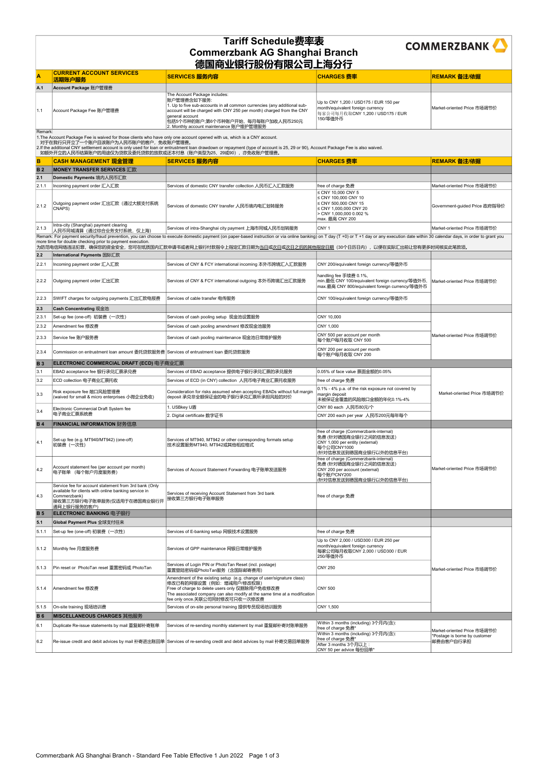more time for double checking prior to payment execution. 为防范电信网络违法犯罪,确保您的资金安全,您可在纸质国内汇款申请书或者网上银行付款指令上指定汇款日期为<u>当日或次日之后的其他指定日期</u>(30个日历日内),以便在实际汇出前让您有更多时间核实此笔款项。

| 2.2        | International Payments 国际汇款                                                                                                                                                |                                                                                                               |                                                                                                                                          |                             |
|------------|----------------------------------------------------------------------------------------------------------------------------------------------------------------------------|---------------------------------------------------------------------------------------------------------------|------------------------------------------------------------------------------------------------------------------------------------------|-----------------------------|
| 2.2.1      | Incoming payment order 汇入汇款                                                                                                                                                | Services of CNY & FCY international incoming 本外币跨境汇入汇款服务                                                      | CNY 200/equivalent foreign currency/等值外币                                                                                                 |                             |
| 2.2.2      | Outgoing payment order 汇出汇款                                                                                                                                                | Services of CNY & FCY international outgoing 本外币跨境汇出汇款服务                                                      | handling fee 手续费 0.1%,<br>min.最低 CNY 100/equivalent foreign currency/等值外币,<br>max.最高 CNY 800/equivalent foreign currency/等值外币            | Market-oriented Price 市场调节价 |
| 2.2.3      | SWIFT charges for outgoing payments 汇出汇款电报费                                                                                                                                | Services of cable transfer 电传服务                                                                               | CNY 100/equivalent foreign currency/等值外币                                                                                                 |                             |
| 2.3        | <b>Cash Concentrating 现金池</b>                                                                                                                                              |                                                                                                               |                                                                                                                                          |                             |
| 2.3.1      | Set-up fee (one-off) 初装费 (一次性)                                                                                                                                             | Services of cash pooling setup 现金池设置服务                                                                        | CNY 10,000                                                                                                                               |                             |
| 2.3.2      | Amendment fee 修改费                                                                                                                                                          | Services of cash pooling amendment 修改现金池服务                                                                    | CNY 1.000                                                                                                                                |                             |
| 2.3.3      | Service fee 账户服务费                                                                                                                                                          | Services of cash pooling maintenance 现金池日常维护服务                                                                | CNY 500 per account per month<br>每个账户每月收取 CNY 500                                                                                        | Market-oriented Price 市场调节价 |
| 2.3.4      | Commission on entrustment loan amount 委托贷款服务费 Services of entrustment loan 委托贷款服务                                                                                          |                                                                                                               | CNY 200 per account per month<br>每个账户每月收取 CNY 200                                                                                        |                             |
| <b>B3</b>  | <b>ELECTRONIC COMMERCIAL DRAFT (ECD) 电子商业汇票</b>                                                                                                                            |                                                                                                               |                                                                                                                                          |                             |
| 3.1        | EBAD acceptance fee 银行承兑汇票承兑费                                                                                                                                              | Services of EBAD acceptance 提供电子银行承兑汇票的承兑服务                                                                   | 0.05% of face value 票面金额的0.05%                                                                                                           |                             |
| 3.2        | ECD collection 电子商业汇票托收                                                                                                                                                    | Services of ECD (in CNY) collection 人民币电子商业汇票托收服务                                                             | free of charge 免费                                                                                                                        |                             |
| 3.3        | Risk exposure fee 敞口风险管理费<br>(waived for small & micro enterprises 小微企业免收)                                                                                                 | Consideration for risks assumed when accepting EBADs without full margin<br>deposit 承兑非全额保证金的电子银行承兑汇票所承担风险的对价 | 0.1% - 4% p.a. of the risk exposure not covered by<br>margin deposit<br>未被保证金覆盖的风险敞口金额的年化0.1%-4%                                         | Market-oriented Price 市场调节价 |
|            | Electronic Commercial Draft System fee                                                                                                                                     | 1. USBkey U盾                                                                                                  | CNY 80 each 人民币80元/个                                                                                                                     |                             |
| 3.4        | 电子商业汇票系统费                                                                                                                                                                  | 2. Digital certificate 数字证书                                                                                   | CNY 200 each per year 人民币200元每年每个                                                                                                        |                             |
| <b>B4</b>  | <b>FINANCIAL INFORMATION 财务信息</b>                                                                                                                                          |                                                                                                               |                                                                                                                                          |                             |
| 4.1        | Set-up fee (e.g. MT940/MT942) (one-off)<br>初装费 (一次性)                                                                                                                       | Services of MT940, MT942 or other corresponding formats setup<br>技术设置服务MT940、MT942或其他相应格式                     | free of charge (Commerzbank-internal)<br>免费(针对德国商业银行之间的信息发送)<br>CNY 1,000 per entity (external)<br>每个公司CNY1000<br>(针对信息发送到德国商业银行以外的信息平台) |                             |
| 4.2        | Account statement fee (per account per month)<br>电子账单 (每个账户月度服务费)                                                                                                          | Services of Account Statement Forwarding 电子账单发送服务                                                             | free of charge (Commerzbank-internal)<br>免费(针对德国商业银行之间的信息发送)<br>CNY 200 per account (external)<br>每个账户CNY200<br>(针对信息发送到德国商业银行以外的信息平台)   | Market-oriented Price 市场调节价 |
| 4.3        | Service fee for account statement from 3rd bank (Only<br>available for clients with online banking service in<br>Commerzbank)<br>接收第三方银行电子账单服务(仅适用于在德国商业银行开<br>通网上银行服务的客户) | Services of receiving Account Statement from 3rd bank<br> 接收第三方银行电子账单服务                                       | free of charge 免费                                                                                                                        |                             |
| <b>B</b> 5 | ELECTRONIC BANKING 电子银行                                                                                                                                                    |                                                                                                               |                                                                                                                                          |                             |
| 5.1        | Global Payment Plus 全球支付往来                                                                                                                                                 |                                                                                                               |                                                                                                                                          |                             |
| 5.1.1      | Set-up fee (one-off) 初装费 (一次性)                                                                                                                                             | Services of E-banking setup 网银技术设置服务                                                                          | free of charge 免费                                                                                                                        |                             |
| 5.1.2      | Monthly fee 月度服务费                                                                                                                                                          | Services of GPP maintenance 网银日常维护服务                                                                          | Up to CNY 2,000 / USD300 / EUR 250 per<br>month/equivalent foreign currency<br>每家公司每月收取CNY 2,000 / USD300 / EUR<br>250/等值外币              |                             |
| 5.1.3      | Pin reset or PhotoTan reset 重置密码或 PhotoTan                                                                                                                                 | Services of Login PIN or PhotoTan Reset (incl. postage)<br>重置登陆密码或PhotoTan服务 (含国际邮寄费用)                        | <b>CNY 250</b>                                                                                                                           | Market-oriented Price 市场调节价 |
|            |                                                                                                                                                                            | Amendment of the existing setup (e.g. change of user/signature class)<br>修改已有的网银设置 (例如: 增减用户/修改权限)            |                                                                                                                                          |                             |

| KW ▄▄▎▎▀▘▄▙▖▞▞▖▎▗▏▓▞▖▐▞▏▏▔▟▕▔▛▚▝▄▚▝▔▘▄▙ <i>▏▀▜▝▞</i> ▗▘▕▏▗▏ |                                                   |                                                                                                                                                                                                                                                                                                                                                                                                                                    |                                                                                                                              |                               |
|-------------------------------------------------------------|---------------------------------------------------|------------------------------------------------------------------------------------------------------------------------------------------------------------------------------------------------------------------------------------------------------------------------------------------------------------------------------------------------------------------------------------------------------------------------------------|------------------------------------------------------------------------------------------------------------------------------|-------------------------------|
|                                                             | <b>CURRENT ACCOUNT SERVICES</b><br><b> 活期账户服务</b> | <b>SERVICES 服务内容</b>                                                                                                                                                                                                                                                                                                                                                                                                               | <b>CHARGES 费率</b>                                                                                                            | REMARK 备注/依据                  |
| A.1                                                         | Account Package 账户管理费                             |                                                                                                                                                                                                                                                                                                                                                                                                                                    |                                                                                                                              |                               |
| 1.1<br>Remark:                                              | Account Package Fee 账户管理费                         | The Account Package includes:<br> 账户管理费含如下服务:<br>1. Up to five sub-accounts in all common currencies (any additional sub-<br>account will be charged with CNY 250 per month) charged from the CNY<br>general account<br> 包括5个币种的账户;第6个币种账户开始,每月每账户加收人民币250元<br>2. Monthly account maintenance 账户维护管理服务<br>1. The Account Package Fee is waived for those clients who have only one account opened with us, which is a CNY account. | Up to CNY 1,200 / USD175 / EUR 150 per<br>month/equivalent foreign currency<br> 每家公司每月收取CNY 1,200 / USD175 / EUR<br>150/等值外币 | Market-oriented Price 市场调节价   |
|                                                             | 对于在我行只开立了一个账户且该账户为人民币账户的客户,免收账户管理费。               | 2. If the additional CNY settlement account is only used for loan or entrustment loan drawdown or repayment (type of account is 25, 29 or 90), Account Package Fee is also waived.<br>如额外开立的人民币结算账户的用途仅为贷款及委托贷款的放款或还本付息(账户类型为25、29或90),亦免收账户管理费。                                                                                                                                                                                   |                                                                                                                              |                               |
| в                                                           | CASH MANAGEMENT 现金管理                              | SERVICES 服务内容                                                                                                                                                                                                                                                                                                                                                                                                                      | <b>CHARGES 费率</b>                                                                                                            | REMARK 备注/依据                  |
| <b>B2</b>                                                   | <b>IMONEY TRANSFER SERVICES 汇款</b>                |                                                                                                                                                                                                                                                                                                                                                                                                                                    |                                                                                                                              |                               |
| 2.1                                                         | Domestic Payments 境内人民币汇款                         |                                                                                                                                                                                                                                                                                                                                                                                                                                    |                                                                                                                              |                               |
| 2.1.1                                                       | Incoming payment order 汇入汇款                       | Services of domestic CNY transfer collection 人民币汇入汇款服务                                                                                                                                                                                                                                                                                                                                                                             | free of charge 免费                                                                                                            | Market-oriented Price 市场调节价   |
| 242                                                         | Outgoing payment order 汇出汇款 (通过大额支付系统             | Convices of demositic CNV transfor 【 兄玉培巾中汇划柱服攵                                                                                                                                                                                                                                                                                                                                                                                    | $\leq$ CNY 10,000 CNY 5<br>≤ CNY 100,000 CNY 10<br>≤ CNY 500,000 CNY 15                                                      | Covernment quided Dries 班広也巳伦 |

 $\begin{vmatrix} 2.1.2 \\ \end{vmatrix}$  CNAPS) Services of domestic CNY transfer 人民币境内电汇划转服务 ≤ CNY 1,000,000 CNY 20 > CNY 1,000,000 0.002 % max. 最高 CNY 200 Government-guided Price 政府指导价 2.1.3 Intra-city (Shanghai) payment clearing 人民币同城清算(通过综合业务支付系统,仅上海) Services of intra-Shanghai city payment 上海市同城人民币划转服务 CNY 1 Market-oriented Price 市场调节价 Remark: For payment security/fraud prevention, you can choose to execute domestic payment (on paper-based instruction or via online banking) on T day (T +0) or T +1 day or any execution date within 30 calendar days, in ord

## Tariff Schedule费率表 Commerzbank AG Shanghai Branch 德国商业银行股份有限公司上海分行



| 15.1.4     | Amendment fee 修改费                             | 修改已有的网银设置(例如:增减用户/修改权限)<br> Free of charge to delete users only 仅删除用户免收修改费_<br>The associated company can also modify at the same time at a modification<br>fee only once.关联公司同时修改可只收一次修改费 | <b>CNY 500</b>                                                                                                 |                                             |
|------------|-----------------------------------------------|--------------------------------------------------------------------------------------------------------------------------------------------------------------------------------------------|----------------------------------------------------------------------------------------------------------------|---------------------------------------------|
| 5.1.5      | On-site training 现场培训费                        | Services of on-site personal training 提供专员现场培训服务                                                                                                                                           | CNY 1.500                                                                                                      |                                             |
| <b>B</b> 6 | <b>MISCELLANEOUS CHARGES 其他服务</b>             |                                                                                                                                                                                            |                                                                                                                |                                             |
| 16.1       | Duplicate Re-issue statements by mail 重复邮补寄账单 | Services of re-sending monthly statement by mail 重复邮补寄对账单服务                                                                                                                                | Within 3 months (including) 3个月内(含):<br>free of charge 免费*                                                     | Market-oriented Price 市场调节价                 |
| 6.2        |                                               | Re-issue credit and debit advices by mail 补寄进出账回单  Services of re-sending credit and debit advices by mail 补寄交易回单服务                                                                        | Within 3 months (including) 3个月内(含):<br>free of charge 免费*<br>After 3 months 3个月以上:<br>CNY 50 per advice 每份回单* | *Postage is borne by customer<br> 邮费由客户自行承担 |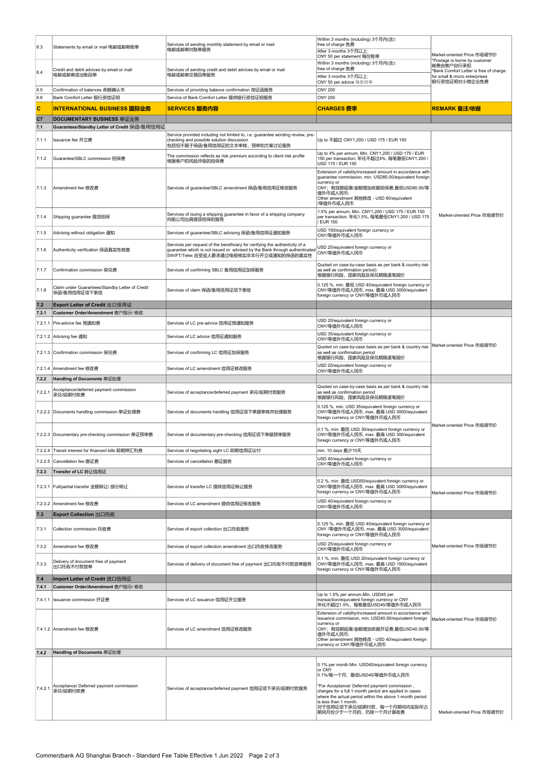| 6.3          | Statements by email or mail 电邮或邮寄账单                             | Services of sending monthly statement by email or mail<br>电邮或邮寄对账单服务                                                                                                                                 | Within 3 months (including) 3个月内(含):<br>free of charge 免费<br>After 3 months 3个月以上:<br>CNY 50 per statement 每份账单                                                                                                                             | Market-oriented Price 市场调节价                                                                                                          |
|--------------|-----------------------------------------------------------------|------------------------------------------------------------------------------------------------------------------------------------------------------------------------------------------------------|---------------------------------------------------------------------------------------------------------------------------------------------------------------------------------------------------------------------------------------------|--------------------------------------------------------------------------------------------------------------------------------------|
| 6.4          | Credit and debit advices by email or mail<br>电邮或邮寄进出账回单         | Services of sending credit and debit advices by email or mail<br>电邮或邮寄交易回单服务                                                                                                                         | Within 3 months (including) 3个月内(含):<br>free of charge 免费<br>After 3 months 3个月以上:                                                                                                                                                          | Postage is borne by customer<br>邮费由客户自行承担<br>Bank Comfort Letter is free of charge<br>for small & micro enterprises<br>银行资信证明对小微企业免费 |
| 6.5          | Confirmation of balances 余额确认书                                  | Services of providing balance confirmation 询证函服务                                                                                                                                                     | CNY 50 per advice 每份回单<br><b>CNY 200</b>                                                                                                                                                                                                    |                                                                                                                                      |
| 6.6          | Bank Comfort Letter 银行资信证明                                      | Service of Bank Comfort Letter 提供银行资信证明服务                                                                                                                                                            | <b>CNY 200</b>                                                                                                                                                                                                                              |                                                                                                                                      |
| $\mathbf{C}$ | INTERNATIONAL BUSINESS 国际业务                                     | <b>SERVICES 服务内容</b>                                                                                                                                                                                 | <b>CHARGES 费率</b>                                                                                                                                                                                                                           | REMARK 备注/依据                                                                                                                         |
| c7           | DOCUMENTARY BUSINESS 单证业务                                       |                                                                                                                                                                                                      |                                                                                                                                                                                                                                             |                                                                                                                                      |
| 7.1          | Guarantees/Standby Letter of Credit 保函/备用信用证                    |                                                                                                                                                                                                      |                                                                                                                                                                                                                                             |                                                                                                                                      |
| 7.1.1        | Issuance fee 开立费                                                | Service provided including not limited to, i.e. guarantee wording review, pre-<br>checking and possible solution discussion<br>包括但不限于保函/备用信用证的文本审核,预审和方案讨论服务                                         | Up to 不超过 CNY1,200 / USD 175 / EUR 150                                                                                                                                                                                                      |                                                                                                                                      |
| 7.1.2        | Guarantee/SBLC commission 担保费                                   | The commission reflects as risk premium according to client risk profile<br>根据客户的风险评级的担保费                                                                                                            | Up to 4% per annum, Min. CNY1,200 / USD 175 / EUR<br>150 per transaction; 年化不超过4%, 每笔最低CNY1,200 /<br><b>USD 175 / EUR 150</b>                                                                                                               |                                                                                                                                      |
| 7.1.3        | Amendment fee 修改费                                               | Services of guarantee/SBLC amendment 保函/备用信用证修改服务                                                                                                                                                    | Extension of validity/increased amount in accordance with<br>guarantee commission, min. USD80.00/equivalent foreign<br>currency or<br>CNY;有效期延展/金额增加依据担保费,最低USD80.00/等<br>值外币或人民币;<br>Other amendment 其他修改 - USD 80/equivalent<br>/等值外币或人民币 |                                                                                                                                      |
| 7.1.4        | Shipping guarantee 提货担保                                         | Services of isuing a shipping guarantee in favor of a shipping company<br>向船公司出具提货担保的服务                                                                                                              | 1.5% per annum, Min. CNY1,200 / USD 175 / EUR 150<br>per transaction; 年化1.5%, 每笔最低CNY1,200 / USD 175<br><b>EUR 150</b>                                                                                                                      | Market-oriented Price 市场调节价                                                                                                          |
| 7.1.5        | Advising without obligation 通知                                  | Services of guarantee/SBLC advising 保函/备用信用证通知服务                                                                                                                                                     | USD 150/equivalent foreign currency or<br>CNY/等值外币或人民币                                                                                                                                                                                      |                                                                                                                                      |
| 7.1.6        | Authenticity verification 保函真实性核查                               | Services per request of the beneficiary for verifying the authenticity of a<br>guarantee which is not issued or advised by the Bank through authenticated<br>SWIFT/Telex 应受益人要求通过电报核实非本行开立或通知的保函的真实性 | USD 25/equivalent foreign currency or<br>CNY/等值外币或人民币                                                                                                                                                                                       |                                                                                                                                      |
| 7.1.7        | Confirmation commission 保兑费                                     | Services of confirming SBLC 备用信用证加保服务                                                                                                                                                                | Quoted on case-by-case basis as per bank & country risk<br>as well as confirmation period)<br>根据银行风险,国家风险及保兑期限逐笔报价                                                                                                                          |                                                                                                                                      |
| 7.1.8        | Claim under Guarantees/Standby Letter of Credit<br>保函/备用信用证项下索偿 | Services of claim 保函/备用信用证项下索偿                                                                                                                                                                       | 0.125 %, min. 最低 USD 40/equivalent foreign currency or<br>CNY/等值外币或人民币, max. 最高 USD 3000/equivalent<br>foreign currency or CNY/等值外币或人民币                                                                                                     |                                                                                                                                      |
| $7.2$        | Export Letter of Credit 出口信用证                                   |                                                                                                                                                                                                      |                                                                                                                                                                                                                                             |                                                                                                                                      |
| 7.2.1        | Customer Order/Amendment 客户指示/ 修改                               |                                                                                                                                                                                                      | USD 20/equivalent foreign currency or                                                                                                                                                                                                       |                                                                                                                                      |
|              | 7.2.1.1 Pre-advice fee 预通知费                                     | Services of LC pre-advice 信用证预通知服务                                                                                                                                                                   | CNY/等值外币或人民币                                                                                                                                                                                                                                |                                                                                                                                      |
|              | 7.2.1.2 Advising fee 通知                                         | Services of LC advice 信用证通知服务                                                                                                                                                                        | USD 35/equivalent foreign currency or<br>CNY/等值外币或人民币                                                                                                                                                                                       | Market-oriented Price 市场调节价                                                                                                          |
|              | 7.2.1.3 Confirmation commission 保兑费                             | Services of confirming LC 信用证加保服务                                                                                                                                                                    | Quoted on case-by-case basis as per bank & country risk<br>as well as confirmation period<br>根据银行风险,国家风险及保兑期限逐笔报价                                                                                                                           |                                                                                                                                      |
|              | 7.2.1.4 Amendment fee 修改费                                       | Services of LC amendment 信用证修改服务                                                                                                                                                                     | USD 20/equivalent foreign currency or<br>CNY/等值外币或人民币                                                                                                                                                                                       |                                                                                                                                      |
| 7.2.2        | Handling of Documents 单证处理                                      |                                                                                                                                                                                                      |                                                                                                                                                                                                                                             |                                                                                                                                      |
| 7.2.2.1      | Acceptance/deferred payment commission<br>承兑/延期付款费              | Services of acceptance/deferred payment 承兑/延期付款服务                                                                                                                                                    | Quoted on case-by-case basis as per bank & country risk<br>as well as confirmation period<br>根据银行风险,国家风险及保兑期限逐笔报价                                                                                                                           |                                                                                                                                      |
|              | 7.2.2.2 Documents handling commission 单证处理费                     | Services of documents handling 信用证项下单据审核并处理服务                                                                                                                                                        | 0.125 %, min. USD 35/equivalent foreign currency or<br>CNY/等值外币或人民币, max. 最高 USD 3000/equivalent<br>foreign currency or CNY/等值外币或人民币                                                                                                        |                                                                                                                                      |
|              | 7.2.2.3 Documentary pre-checking commission 单证预审费               | Services of documentary pre-checking 信用证项下单据预审服务                                                                                                                                                     | 0.1 %, min. 最低 USD 30/equivalent foreign currency or<br>CNY/等值外币或人民币, max. 最高 USD 300/equivalent<br>foreign currency or CNY/等值外币或人民币                                                                                                        | Market-oriented Price 市场调节价                                                                                                          |
| 7.2.2.4      | Transit interest for financed bills 即期押汇利息                      | Services of negotiating sight LC 即期信用证议付                                                                                                                                                             | min. 10 days 最少10天                                                                                                                                                                                                                          |                                                                                                                                      |
|              | 7.2.2.5 Cancellation fee 撤证费                                    | Services of cancellation 撤证服务                                                                                                                                                                        | USD 40/equivalent foreign currency or<br>CNY/等值外币或人民币                                                                                                                                                                                       |                                                                                                                                      |
| 7.2.3        | Transfer of LC 转让信用证                                            |                                                                                                                                                                                                      |                                                                                                                                                                                                                                             |                                                                                                                                      |
|              | 7.2.3.1 Full/partial transfer 全额转让/ 部分转让                        | Services of transfer LC 提供信用证转让服务                                                                                                                                                                    | 0.2 %, min. 最低 USD50/equivalent foreign currency or<br>CNY/等值外币或人民币, max. 最高 USD 3000/equivalent<br>foreign currency or CNY/等值外币或人民币                                                                                                        | Market-oriented Price 市场调节价                                                                                                          |
|              | 7.2.3.2 Amendment fee 修改费                                       | Services of LC amendment 提供信用证修改服务                                                                                                                                                                   | USD 40/equivalent foreign currency or<br>CNY/等值外币或人民币                                                                                                                                                                                       |                                                                                                                                      |
| 7.3          | Export Collection 出口托收                                          |                                                                                                                                                                                                      |                                                                                                                                                                                                                                             |                                                                                                                                      |
| 7.3.1        | Collection commission 托收费                                       | Services of export collection 出口托收服务                                                                                                                                                                 | 0.125 %, min. 最低 USD 40/equivalent foreign currency or<br>CNY /等值外币或人民币, max. 最高 USD 3000/equivalent<br>foreign currency or CNY/等值外币或人民币                                                                                                    |                                                                                                                                      |
| 7.3.2        | Amendment fee 修改费                                               | Services of export collection amendment 出口托收修改服务                                                                                                                                                     | USD 25/equivalent foreign currency or<br>CNY/等值外币或人民币                                                                                                                                                                                       | Market-oriented Price 市场调节价                                                                                                          |
| 7.3.3        | Delivery of document free of payment<br>出口托收不付款放单               | Services of delivery of document free of payment 出口托收不付款放单服务                                                                                                                                         | 0.1 %, min. 最低 USD 20/equivalent foreign currency or<br>CNY/等值外币或人民币, max. 最高 USD 1500/equivalent<br>foreign currency or CNY/等值外币或人民币                                                                                                       |                                                                                                                                      |
| $7.4$        | Import Letter of Credit 进口信用证                                   |                                                                                                                                                                                                      |                                                                                                                                                                                                                                             |                                                                                                                                      |

| 7.4.1   | Customer Order/Amendment 客户指示/ 修改                    |                                                        |                                                                                                                                                                                                                                                                                                                                                     |                             |
|---------|------------------------------------------------------|--------------------------------------------------------|-----------------------------------------------------------------------------------------------------------------------------------------------------------------------------------------------------------------------------------------------------------------------------------------------------------------------------------------------------|-----------------------------|
|         | 7.4.1.1   Issuance commission 开证费                    | Services of LC issuance 信用证开立服务                        | Up to 1.5% per annum, Min. USD45 per<br>transaction/equivalent foreign currency or CNY<br>年化不超过1.5%, 每笔最低USD45/等值外币或人民币                                                                                                                                                                                                                             |                             |
|         | 7.4.1.2   Amendment fee 修改费                          | Services of LC amendment 信用证修改服务                       | Extension of validity/increased amount in accordance with<br>issuance commission, min. USD40.00/equivalent foreign<br>currency or<br>CNY;有效期延展/金额增加依据开证费,最低USD40.00/等<br>值外币或人民币:<br>Other amendment 其他修改 - USD 40/equivalent foreign<br>currency or CNY/等值外币或人民币                                                                                   | Market-oriented Price 市场调节价 |
| 7.4.2   | Handling of Documents 单证处理                           |                                                        |                                                                                                                                                                                                                                                                                                                                                     |                             |
| 7.4.2.1 | Acceptance/ Deferred payment commission<br> 承兑/延期付款费 | Services of acceptance/deferred payment 信用证项下承兑/延期付款服务 | 0.1% per month Min. USD40/equivalent foreign currency<br>lor CNY<br>0.1%/每一个月,最低USD40/等值外币或人民币<br>*For Acceptance/ Deferred payment commission,<br>charges for a full 1-month period are applied in cases<br>where the actual period within the above 1-month period<br>is less than 1 month.<br>对于信用证项下承兑/延期付款,每一个月期间内实际所占<br>期间月份少于一个月的,仍按一个月计算收费 | Market-oriented Price 市场调节价 |